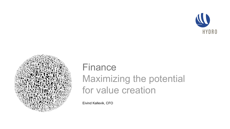



# FinanceMaximizing the potential for value creation

Eivind Kallevik, CFO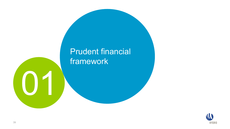# **Prudent financial** framework

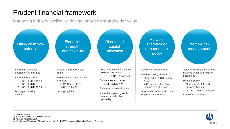## Prudent financial framework

Managing industry cyclicality, driving long-term shareholder value



1) Real 2015 terms

2) Funds from operations / adjusted net debt

3) Adjusted net debt / Equity

4) With Karmøy Technology Pilot net investment, after ENOVA support and including Extruded Solutions

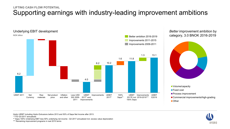### Supporting earnings with industry-leading improvement ambitions **LIFTING CASH FLOW POTENTIAL**



category, 3.0 BNOK 2016-2019



- **Volume/capacity**
- Fixed cost
- **Process improvement**
- Commercial improvements/high-grading
- ■Other

Hydro UEBIT including Hydro Extrusions before 2013 and 50% of Sapa Net Income after 2013.

\* YTD Q3-2017 annualized

\*\* Sapa 100% Underlying EBIT less 50% underlying net income - Q3 2017 annualized incl. excess value depreciation

\*\*\* Remaining improvement programs in real 2015 terms

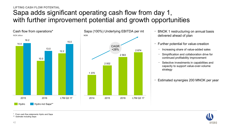## Sapa adds significant operating cash flow from day 1, with further improvement potential and growth opportunities **LIFTING CASH FLOW POTENTIAL**

2 874



- $\bullet$  BNOK 1 restructuring on annual basis delivered ahead of plan
- $\bullet$  Further potential for value-creation
	- −Increasing share of value-added sales
	- − Simplification and collaboration drive for continued profitability improvement
	- − Selective investments in capabilities and capacity to support value-over-volume strategy
- •Estimated synergies 200 MNOK per year



\* From cash flow statements Hydro and Sapa

\*\* Estimate including Sapa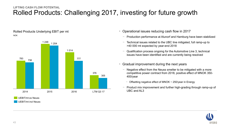### Rolled Products: Challenging 2017, investing for future growth **LIFTING CASH FLOW POTENTIAL**

Rolled Products Underlying EBIT per mt NOK



- Operational issues reducing cash flow in 2017
	- − Production performance at Alunorf and Hamburg have been stabilized
	- − Technical issues related to the UBC line mitigated, full ramp-up to >40 000 mt expected by year-end 2018
	- Qualification process ongoing for the Automotive Line 3, technical issues have been identified and are currently being resolved
- Gradual improvement during the next years
	- − Negative effect from the Neuss smelter to be mitigated with a more competitive power contract from 2018, positive effect of MNOK 350- 400/year
		- − Offsetting negative effect of MNOK ~ 250/year in Energy
	- Product mix improvement and further high-grading through ramp-up of UBC and AL3

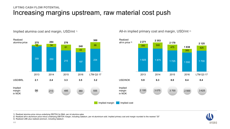### Increasing margins upstream, raw material cost push **LIFTING CASH FLOW POTENTIAL**



Implied alumina cost and margin, USD/mt<sup>1)</sup>

All-in implied primary cost and margin, USD/mt<sup>2)</sup>

300

1 550

**1 838**

2016

2 500

425

1 700

3 625

**2 125**

1) Realized alumina price minus underlying EBITDA for B&A, per mt alumina sales

2) Realized all-in aluminium price minus underlying EBITDA margin, including Qatalum, per mt aluminium sold. Implied primary cost and margin rounded to the nearest "25"

3) Realized LME plus realized premium, including Qatalum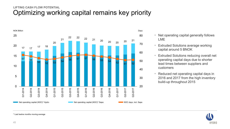### Optimizing working capital remains key priority **LIFTING CASH FLOW POTENTIAL**



- $\bullet$  Net operating capital generally follows LME
- $\bullet$  Extruded Solutions average working capital around 5 BNOK
- $\bullet$  Extruded Solutions reducing overall net operating capital days due to shorter lead times between suppliers and customers
- Reduced net operating capital days in 2016 and 2017 from the high inventory build-up throughout 2015



\* Last twelve months moving average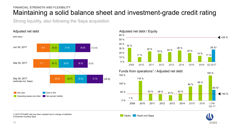### Maintaining a solid balance sheet and investment-grade credit rating **FINANCIAL STRENGTH AND FLEXIBILITY**

Strong liquidity, also following the Sapa acquisition



#### 11 % 14 % 20 %26 %22 % 19 % 24 % 11 %32 %0 %10 %20 %30 %40 % 50 %60 %2009 2010 2011 2012 2013 2014 2015 2016 2010 2011 2012 2013 2014 2015  $\triangleleft$  <55 % Q3 201728 %2 Adjusted net debt / Equity



#### 1) 2015 FFO/aND ratio has been restated due to change of definition 2) Estimate including Sapa

Hydro Hydro incl Sapa

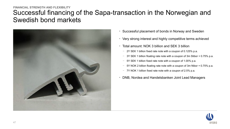## Successful financing of the Sapa-transaction in the Norwegian and Swedish bond markets**FINANCIAL STRENGTH AND FLEXIBILITY**



- Successful placement of bonds in Norway and Sweden
- Very strong interest and highly competitive terms achieved
- Total amount: NOK 3 billion and SEK 3 billion
	- − 2Y SEK 1 billion fixed rate note with a coupon of 0.125% p.a.
	- − 3Y SEK 1 billion floating rate note with a coupon of 3m Stibor + 0.75% p.a.
	- − 5Y SEK 1 billion fixed rate note with a coupon of 1.00% p.a.
	- 5Y NOK 2 billion floating rate note with a coupon of 3m Nibor + 0.75% p.a.
	- − 7Y NOK 1 billion fixed rate note with a coupon of 2.5% p.a.
- DNB, Nordea and Handelsbanken Joint Lead Managers

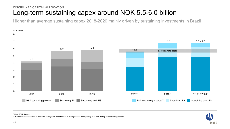### Long-term sustaining capex around NOK 5.5-6.0 billion **DISCIPLINED CAPITAL ALLOCATION**

Higher than average sustaining capex 2018-2020 mainly driven by sustaining investments in Brazil





\* Real 2017 figures

\*\* Red mud disposal area at Alunorte, tailing dam investments at Paragominas and opening of a new mining area at Paragominas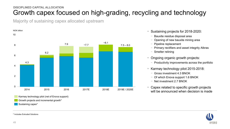### Growth capex focused on high-grading, recycling and technology **DISCIPLINED CAPITAL ALLOCATION**

Majority of sustaining capex allocated upstream



- • Sustaining projects for 2018-2020:
	- − Bauxite residue disposal area
	- − Opening of new bauxite mining area
	- − Pipeline replacement
	- − Primary rectifiers and asset integrity Albras
	- − Smelter relining
- Ongoing organic growth projects:
	- − Productivity improvements across the portfolio
- • Karmøy technology pilot 2015-2018:
	- − Gross investment 4.3 BNOK
	- − Of which Enova support 1.6 BNOK
	- − Net investment 2.7 BNOK
- Capex related to specific growth projects will be announced when decision is made



\* Includes Extruded Solutions

Sustaining capex\*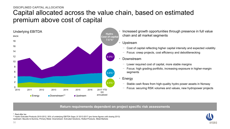## Capital allocated across the value chain, based on estimated premium above cost of capital **DISCIPLINED CAPITAL ALLOCATION**



 Increased growth opportunities through presence in full value chain and all market segments

#### • Upstream

•

•

•

- − Cost of capital reflecting higher capital intensity and expected volatility
- −Focus: creep projects, cost efficiency and debottlenecking

#### Downstream

- − Lower required cost of capital, more stable margins
- Focus: high grading portfolio, increasing exposure in higher-margin segments
- Energy
- − Stable cash flows from high-quality hydro power assets in Norway
- − Focus: securing RSK volumes and values, new hydropower projects

#### **Return requirements dependent on project specific risk assessments**

\* Real after tax

\*\* Hydro Extruded Products 2010-2012, 50% of underlying EBITDA Sapa JV 2013-2017 (pro forma figures until closing 2013) Upstream: Bauxite & Alumina, Primary Metal. Downstream: Extruded Solutions, Rolled Products, Metal Markets

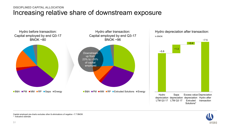### Increasing relative share of downstream exposure **DISCIPLINED CAPITAL ALLOCATION**





Capital employed pie-charts excludes other & eliminations of negative ~7.7 BNOK

\* Indicative estimate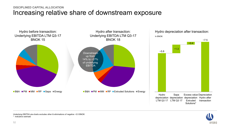### Increasing relative share of downstream exposure **DISCIPLINED CAPITAL ALLOCATION**





Underlying EBITDA pie-charts excludes other & eliminations of negative ~0.5 BNOK \* Indicative estimate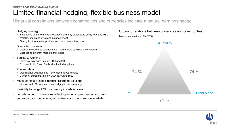### Limited financial hedging, flexible business model **EFFECTIVE RISK MANAGEMENT**

Historical correlations between commodities and currencies indicate a natural earnings hedge

| <b>Hedging strategy</b> |
|-------------------------|

- − Fluctuating with the market: revenues primarily exposed to LME, PAX and USD
- − Volatility mitigated by strong balance sheet
- Strengthening relative position to ensure competitiveness
- • Diversified business
	- − Upstream cyclicality balanced with more stable earnings downstream
	- Exposed to different markets and cycles
- Bauxite & Alumina
	- − Currency exposure, mainly USD and BRL
	- Exposed to LME and Platts alumina index prices
- • Primary Metal
	- − Operational LME hedging one-month forward sales
	- − Currency exposure, mainly USD, NOK and BRL
- $\bullet$  Metal Markets, Rolled Products, Extruded Solutions
	- − Operational LME and currency hedging to secure margin
- •Flexibility to hedge LME or currency in certain cases
- $\bullet$  Long-term debt in currencies reflecting underlying exposures and cash generation, also considering attractiveness in main financial markets

Monthly correlations 1994-2016 Cross-correlations between currencies and commodities





*Source: Thomson Reuters, Hydro analysis*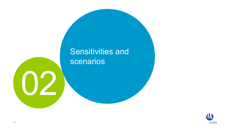# Sensitivities and scenarios

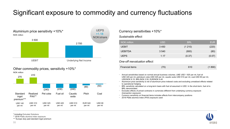## Significant exposure to commodity and currency fluctuations



#### Other commodity prices, sensitivity +10%\* NOK million



#### *Sustainable effect:*

| NOK million           | <b>USD</b> | <b>BRL</b> | <b>EUR</b> |
|-----------------------|------------|------------|------------|
| <b>UEBIT</b>          | 3450       | (1 210)    | (220)      |
| <b>UEBITDA</b>        | 3 5 4 0    | (900)      | (80)       |
| <b>UEPS</b>           | 1.17       | (0.37)     | (0.07)     |
| <br>--<br>.<br>$\sim$ | $\sim$     |            |            |

#### *One-off reevaluation effect:*

| Financial items | (70) | 610 | (1890) |
|-----------------|------|-----|--------|
|-----------------|------|-----|--------|

• Annual sensitivities based on normal annual business volumes, LME USD 1 925 per mt, fuel oil USD 420 per mt, petroleum coke USD 325 per mt, caustic soda USD 510 per mt, coal USD 80 per mt, USD/NOK 8.10, BRL/NOK 2.50, EUR/NOK 9.40

• Aluminium price sensitivity is net of aluminium price indexed costs and excluding unrealized effects related to operational hedging

 BRL sensitivity calculated on a long-term basis with fuel oil assumed in USD. In the short-term, fuel oil is BRL-denominated

- Excludes effects of priced contracts in currencies different from underlying currency exposure (transaction exposure)
- Currency sensitivity on financial items includes effects from intercompany positions
- 2018 Platts alumina index (PAX) exposure used



- \*\* 2018 Platts alumina index exposure
- \*\*\* Europe duty paid standard ingot premium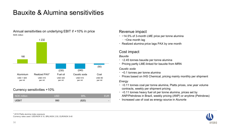## Bauxite & Alumina sensitivities

Annual sensitivities on underlying EBIT if +10% in price NOK million



#### Currency sensitivities +10%

| NOK million | USD | <b>BRL</b> | <b>FUR</b> |
|-------------|-----|------------|------------|
| JEBIT       | 990 | (820)      | $\sim$     |

#### Revenue impact

- ~14.5% of 3-month LME price per tonne alumina
	- − ~One month lag
- Realized alumina price lags PAX by one month

#### Cost impact

#### *Bauxite*

- ~2.45 tonnes bauxite per tonne alumina
- Pricing partly LME-linked for bauxite from MRN

#### *Caustic soda*

- ~0.1 tonnes per tonne alumina
- Prices based on IHS Chemical, pricing mainly monthly per shipment

#### *Energy*

- ~0.11 tonnes coal per tonne alumina, Platts prices, one year volume contracts, weekly per shipment pricing
- ~0.11 tonnes heavy fuel oil per tonne alumina, prices set by ANP/Petrobras in Brazil, weekly pricing (ANP) or anytime (Petrobras)
- Increased use of coal as energy source in Alunorte



\* 2018 Platts alumina index exposure Currency rates used: USD/NOK 8.10, BRL/NOK 2.50, EUR/NOK 9.40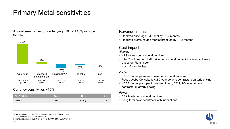## Primary Metal sensitivities

Annual sensitivities on underlying EBIT if +10% in price NOK million



#### Currency sensitivities +10%

| $\blacksquare$ NOK million $\blacksquare$ | USD  | <b>BRL</b> | <b>EUR</b> |
|-------------------------------------------|------|------------|------------|
| JEBIT                                     | 2060 | (390)      | (230)      |

#### Revenue impact

- Realized price lags LME spot by ~1-2 months
- Realized premium lags market premium by ~1-2 months

#### Cost impact

#### *Alumina*

- ~1.9 tonnes per tonne aluminium
- ~14.5% of 3-month LME price per tonne alumina, increasing volumes priced on Platts index
	- − ~ 1-3 months lag

#### *Carbon*

- ~0.35 tonnes petroleum coke per tonne aluminium,
- Pace Jacobs Consultancy, 2-3 year volume contracts, quarterly pricing
- ~0.08 tonnes pitch per tonne aluminium, CRU, 2-3 year volume contracts, quarterly pricing

#### *Power*

- 13.7 MWh per tonne aluminium
- Long-term power contracts with indexations



\* Europe duty paid. Hydro Q3'17 realized premium USD 261 per mt \*\* 2018 Platts alumina index exposure

Currency rates used: USD/NOK 8.10, BRL/NOK 2.50, EUR/NOK 9.40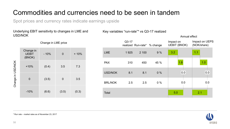## Commodities and currencies need to be seen in tandem

Spot prices and currency rates indicate earnings upside

#### Underlying EBIT sensitivity to changes in LME and USD/NOK

Change in LME price

Key variables "run-rate"\* vs Q3-17 realized

|                   | Change in<br><b>UEBIT</b><br>(BNOK) | $-10%$ | 0     | $+10%$ |
|-------------------|-------------------------------------|--------|-------|--------|
|                   | $+10%$                              | (0.4)  | 3.5   | 7.3    |
| Change in USD/NOK | 0                                   | (3.5)  | 0     | 3.5    |
|                   | $-10%$                              | (6.6)  | (3.5) | (0.3)  |

|                | $Q3-17$ | realized Run-rate* % change |       | Impact on<br><b>UEBIT (BNOK)</b> | Impact on UEPS<br>(NOK/share) |
|----------------|---------|-----------------------------|-------|----------------------------------|-------------------------------|
| <b>LME</b>     | 1925    | 2 100                       | 9%    | 3.2                              | 1.1                           |
| <b>PAX</b>     | 310     | 450                         | 45 %  | 1.8                              | 1.0                           |
| <b>USD/NOK</b> | 8.1     | 8.1                         | 0%    | 0.0                              | 0.0                           |
| <b>BRL/NOK</b> | 2.5     | 2.5                         | $0\%$ | 0.0                              | 0.0                           |
| Total          |         |                             |       | 5.0                              | 2.1                           |

Annual effect

**HYDRO** 

\* Run rate – market rates as of November 23, 2017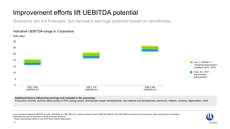## Improvement efforts lift UEBITDA potential

Scenarios are not forecasts, but represent earnings potential based on sensitivities



#### **Additional factors influencing earnings (not included in the scenarios):**

Production volumes, alumina sales pricing on PAX, energy prices, downstream margin developments, raw material cost development, premiums, inflation, currency, depreciation, other

Last 4 quarters underlying EBITDA as basis. USD/NOK 8.0, BRL/NOK 2.5, realized premium above LME 260 USD/mt, PAX 350 USD/mt assumed for all scenarios. Other assumptions unchanged. Improvements used for scenarios exclude Extruded Solutions \* Future improvement efforts in real 2015 terms, before depreciation.

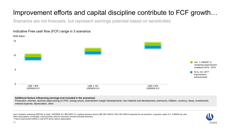## Improvement efforts and capital discipline contribute to FCF growth…

Scenarios are not forecasts, but represent earnings potential based on sensitivities



#### **Additional factors influencing earnings (not included in the scenarios):**

Production volumes, alumina sales pricing on PAX, energy prices, downstream margin developments, raw material cost development, premiums, inflation, currency, taxes, investments, interest expense, depreciation, other

Last 4 quarters underlying EBITDA as basis. USD/NOK 8.0, BRL/NOK 2.5, realized premium above LME 260 USD/mt, PAX 350 USD/mt assumed for all scenarios. Long-term capex 5.5 - 6 BNOK per year Other assumptions unchanged. Improvements used for scenarios exclude Extruded Solutions \* Future improvement efforts in real 2015 terms, before depreciation.

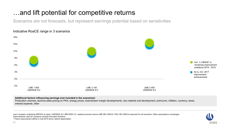## …and lift potential for competitive returns

Scenarios are not forecasts, but represent earnings potential based on sensitivities



#### Indicative RoaCE range in 3 scenarios

#### **Additional factors influencing earnings (not included in the scenarios):**

Production volumes, alumina sales pricing on PAX, energy prices, downstream margin developments, raw material cost development, premiums, inflation, currency, taxes, interest expense, other

Last 4 quarters underlying EBITDA as basis. USD/NOK 8.0, BRL/NOK 2.5, realized premium above LME 260 USD/mt, PAX 350 USD/mt assumed for all scenarios. Other assumptions unchanged. Improvements used for scenarios exclude Extruded Solutions \* Future improvement efforts in real 2015 terms, before depreciation.

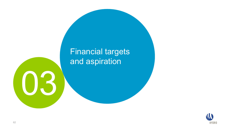# Financial targets and aspiration



H.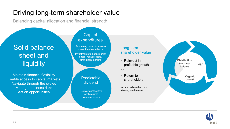## Driving long-term shareholder value

Balancing capital allocation and financial strength

## Solid balance sheet and **liquidity**

Maintain financial flexibility Enable access to capital markets Navigate through the cycles Manage business risks Act on opportunities

### **Capital** expenditures

Sustaining capex to ensure operational excellence

Investments to keep market share, reduce costs, strengthen margins



risk-adjusted returns Deliver competitive cash returns to shareholders

#### Long-term shareholder value

• Reinvest in profitable growth

*or*

 $\bullet$  Return to shareholders

Allocation based on best



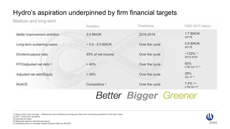## Hydro's aspiration underpinned by firm financial targets

### Medium and long-term

|                                     | Ambition                  | <b>Timeframe</b>             | CMD 2017 status                  |
|-------------------------------------|---------------------------|------------------------------|----------------------------------|
| Better improvement ambition         | 3.0 BNOK                  | 2016-2019                    | 1.7 BNOK<br>2017E                |
| Long-term sustaining capex          | $\sim$ 5.5 - 6.0 BNOK     | Over the cycle               | <b>5.6 BNOK</b><br>2017E         |
| Dividend payout ratio               | 40% of net income         | Over the cycle               | $~133\%$ 1)<br>2012-2016         |
| FFO/adjusted net debt <sup>2)</sup> | > 40%                     | Over the cycle               | 65%<br>LTM Q3-17 3)              |
| Adjusted net debt/Equity            | $< 55\%$                  | Over the cycle               | 28%<br>$Q3-17^{3}$               |
| <b>RoACE</b>                        | Competitive <sup>4)</sup> | Over the cycle               | $7.4\%$ 3,5)<br><b>LTM Q3-17</b> |
|                                     |                           | Better <b>Bigger</b> Greener |                                  |

1) Payout ratio 5 year average – dividend per share divided by earnings per share from continuing operations for the last 5 years

2) FFO – funds from operations

3) Estimate incl Sapa

4) Measured against a relevant peer group

5) Underlying return on average capital employed after tax (RoACE)